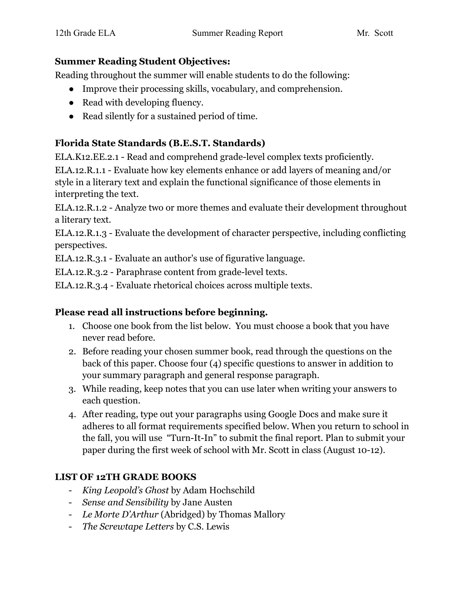#### **Summer Reading Student Objectives:**

Reading throughout the summer will enable students to do the following:

- Improve their processing skills, vocabulary, and comprehension.
- Read with developing fluency.
- Read silently for a sustained period of time.

# **Florida State Standards (B.E.S.T. Standards)**

ELA.K12.EE.2.1 - Read and comprehend grade-level complex texts proficiently. ELA.12.R.1.1 - Evaluate how key elements enhance or add layers of meaning and/or style in a literary text and explain the functional significance of those elements in interpreting the text.

ELA.12.R.1.2 - Analyze two or more themes and evaluate their development throughout a literary text.

ELA.12.R.1.3 - Evaluate the development of character perspective, including conflicting perspectives.

ELA.12.R.3.1 - Evaluate an author's use of figurative language.

ELA.12.R.3.2 - Paraphrase content from grade-level texts.

ELA.12.R.3.4 - Evaluate rhetorical choices across multiple texts.

# **Please read all instructions before beginning.**

- 1. Choose one book from the list below. You must choose a book that you have never read before.
- 2. Before reading your chosen summer book, read through the questions on the back of this paper. Choose four (4) specific questions to answer in addition to your summary paragraph and general response paragraph.
- 3. While reading, keep notes that you can use later when writing your answers to each question.
- 4. After reading, type out your paragraphs using Google Docs and make sure it adheres to all format requirements specified below. When you return to school in the fall, you will use "Turn-It-In" to submit the final report. Plan to submit your paper during the first week of school with Mr. Scott in class (August 10-12).

# **LIST OF 12TH GRADE BOOKS**

- *King Leopold's Ghost* by Adam Hochschild
- *Sense and Sensibility* by Jane Austen
- *Le Morte D'Arthur* (Abridged) by Thomas Mallory
- *The Screwtape Letters* by C.S. Lewis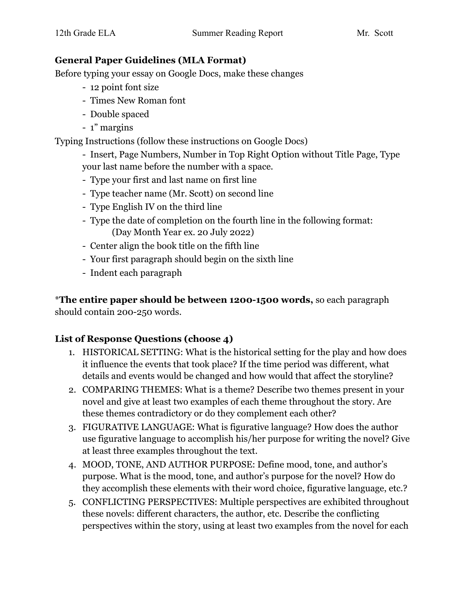#### **General Paper Guidelines (MLA Format)**

Before typing your essay on Google Docs, make these changes

- 12 point font size
- Times New Roman font
- Double spaced
- 1" margins

Typing Instructions (follow these instructions on Google Docs)

- Insert, Page Numbers, Number in Top Right Option without Title Page, Type your last name before the number with a space.

- Type your first and last name on first line
- Type teacher name (Mr. Scott) on second line
- Type English IV on the third line
- Type the date of completion on the fourth line in the following format: (Day Month Year ex. 20 July 2022)
- Center align the book title on the fifth line
- Your first paragraph should begin on the sixth line
- Indent each paragraph

\***The entire paper should be between 1200-1500 words,** so each paragraph should contain 200-250 words.

# **List of Response Questions (choose 4)**

- 1. HISTORICAL SETTING: What is the historical setting for the play and how does it influence the events that took place? If the time period was different, what details and events would be changed and how would that affect the storyline?
- 2. COMPARING THEMES: What is a theme? Describe two themes present in your novel and give at least two examples of each theme throughout the story. Are these themes contradictory or do they complement each other?
- 3. FIGURATIVE LANGUAGE: What is figurative language? How does the author use figurative language to accomplish his/her purpose for writing the novel? Give at least three examples throughout the text.
- 4. MOOD, TONE, AND AUTHOR PURPOSE: Define mood, tone, and author's purpose. What is the mood, tone, and author's purpose for the novel? How do they accomplish these elements with their word choice, figurative language, etc.?
- 5. CONFLICTING PERSPECTIVES: Multiple perspectives are exhibited throughout these novels: different characters, the author, etc. Describe the conflicting perspectives within the story, using at least two examples from the novel for each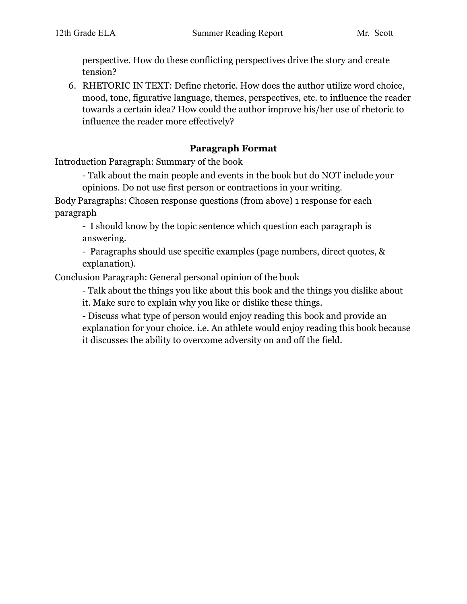perspective. How do these conflicting perspectives drive the story and create tension?

6. RHETORIC IN TEXT: Define rhetoric. How does the author utilize word choice, mood, tone, figurative language, themes, perspectives, etc. to influence the reader towards a certain idea? How could the author improve his/her use of rhetoric to influence the reader more effectively?

#### **Paragraph Format**

Introduction Paragraph: Summary of the book

- Talk about the main people and events in the book but do NOT include your

opinions. Do not use first person or contractions in your writing.

Body Paragraphs: Chosen response questions (from above) 1 response for each paragraph

- I should know by the topic sentence which question each paragraph is answering.

- Paragraphs should use specific examples (page numbers, direct quotes, & explanation).

Conclusion Paragraph: General personal opinion of the book

- Talk about the things you like about this book and the things you dislike about it. Make sure to explain why you like or dislike these things.

- Discuss what type of person would enjoy reading this book and provide an explanation for your choice. i.e. An athlete would enjoy reading this book because it discusses the ability to overcome adversity on and off the field.